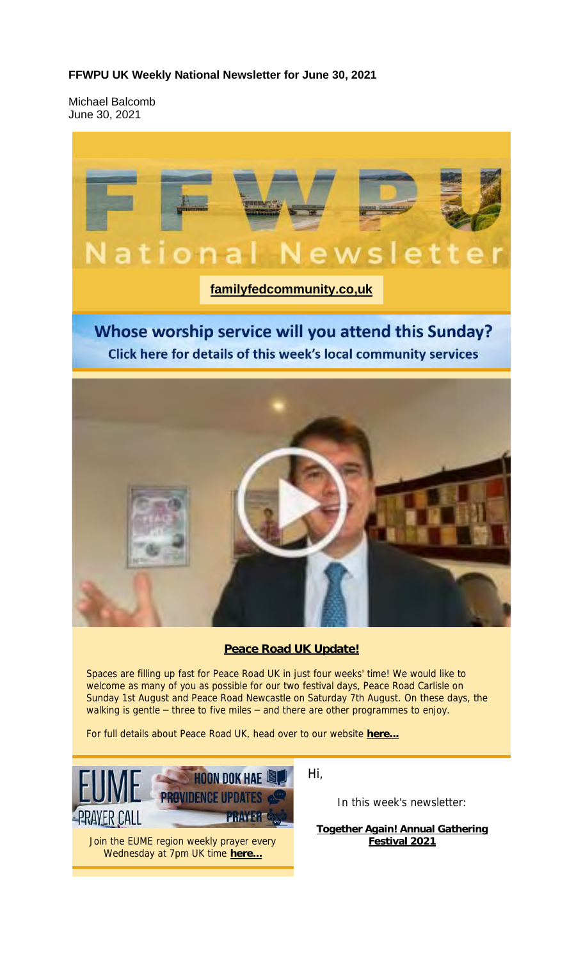## **FFWPU UK Weekly National Newsletter for June 30, 2021**

Michael Balcomb June 30, 2021

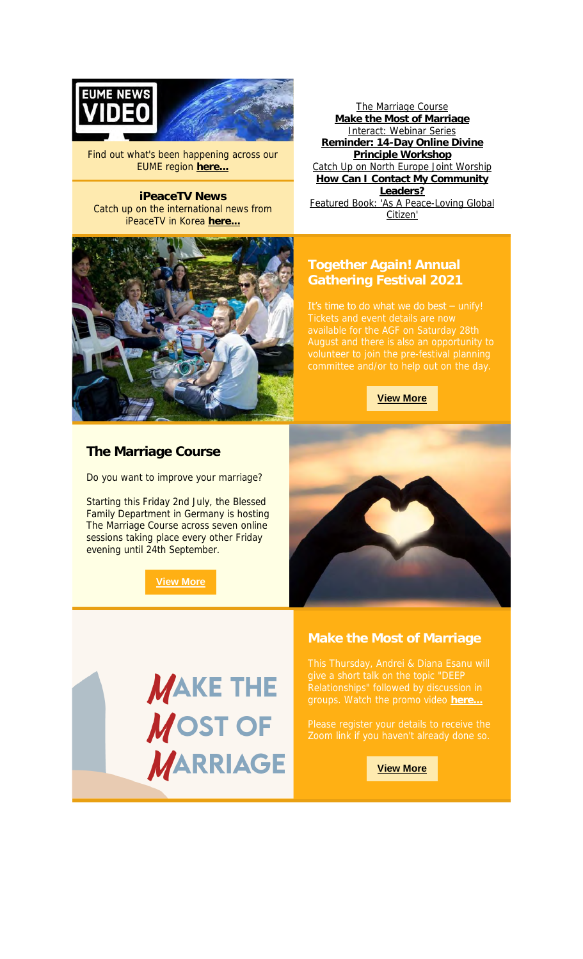

Find out what's been happening across our EUME region **here...**

**iPeaceTV News** Catch up on the international news from iPeaceTV in Korea **here...**



The Marriage Course **Make the Most of Marriage** Interact: Webinar Series **Reminder: 14-Day Online Divine Principle Workshop** Catch Up on North Europe Joint Worship **How Can I Contact My Community Leaders?** Featured Book: 'As A Peace-Loving Global Citizen'

# **Together Again! Annual Gathering Festival 2021**

It's time to do what we do best  $-$  unify!

#### **View More**



Do you want to improve your marriage?

Starting this Friday 2nd July, the Blessed Family Department in Germany is hosting The Marriage Course across seven online sessions taking place every other Friday evening until 24th September.

**View More**



# **MAKE THE MOST OF MARRIAGE**

#### **Make the Most of Marriage**

**View More**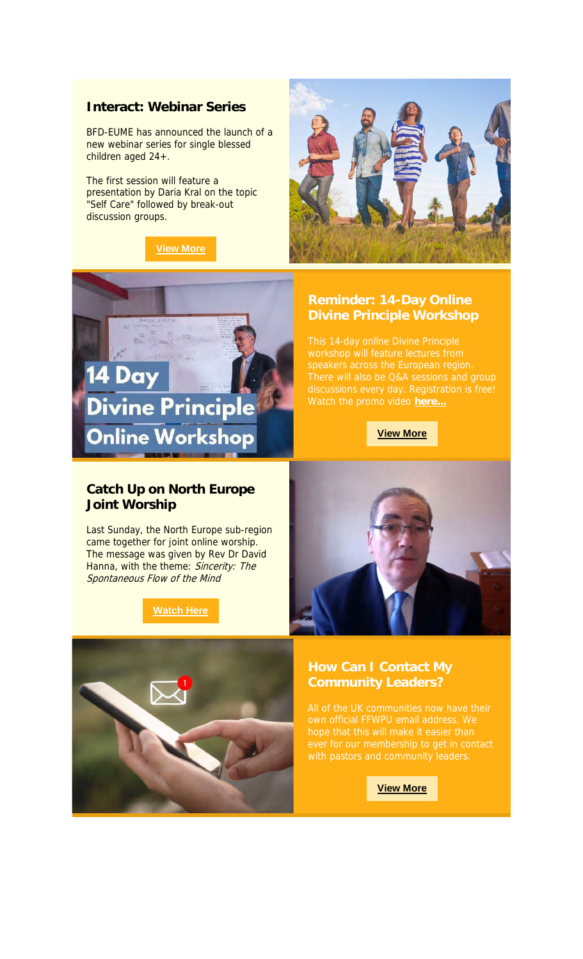### **Interact: Webinar Series**

BFD-EUME has announced the launch of a new webinar series for single blessed children aged 24+.

The first session will feature a presentation by Daria Kral on the topic "Self Care" followed by break-out discussion groups.







Watch the promo video **here...**

**View More**

# **Catch Up on North Europe Joint Worship**

**Divine Principle** 

**Online Workshop** 

14 Day

Last Sunday, the North Europe sub-region came together for joint online worship. The message was given by Rev Dr David Hanna, with the theme: Sincerity: The Spontaneous Flow of the Mind

# **Watch Here**





own official FFWPU email address. We

**View More**

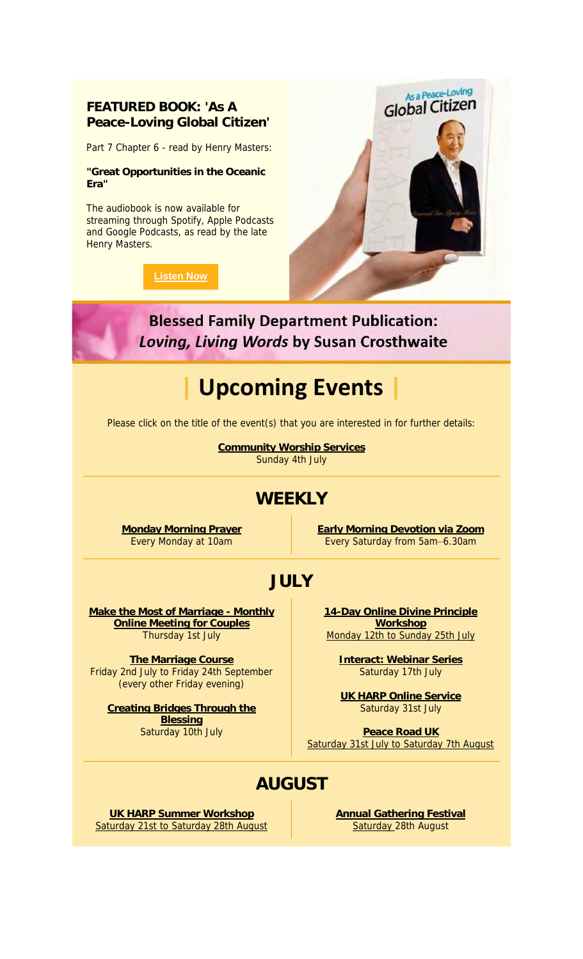# **FEATURED BOOK: 'As A Peace-Loving Global Citizen'**

Part 7 Chapter 6 - read by Henry Masters:

**"Great Opportunities in the Oceanic Era"**

The audiobook is now available for streaming through Spotify, Apple Podcasts and Google Podcasts, as read by the late Henry Masters.

#### **Listen Now**



**Blessed Family Department Publication: Loving, Living Words by Susan Crosthwaite** 

# **| Upcoming Events |**

Please click on the title of the event(s) that you are interested in for further details:

**Community Worship Services** Sunday 4th July

# **WEEKLY**

**Monday Morning Prayer** Every Monday at 10am

**Early Morning Devotion via Zoom** Every Saturday from 5am–6.30am

# **JULY**

**Make the Most of Marriage - Monthly Online Meeting for Couples** Thursday 1st July

**The Marriage Course** Friday 2nd July to Friday 24th September (every other Friday evening)

**Creating Bridges Through the Blessing** Saturday 10th July

**14-Day Online Divine Principle Workshop** Monday 12th to Sunday 25th July

**Interact: Webinar Series** Saturday 17th July

**UK HARP Online Service** Saturday 31st July

**Peace Road UK** Saturday 31st July to Saturday 7th August

# **AUGUST**

**UK HARP Summer Workshop** Saturday 21st to Saturday 28th August **Annual Gathering Festival** Saturday 28th August